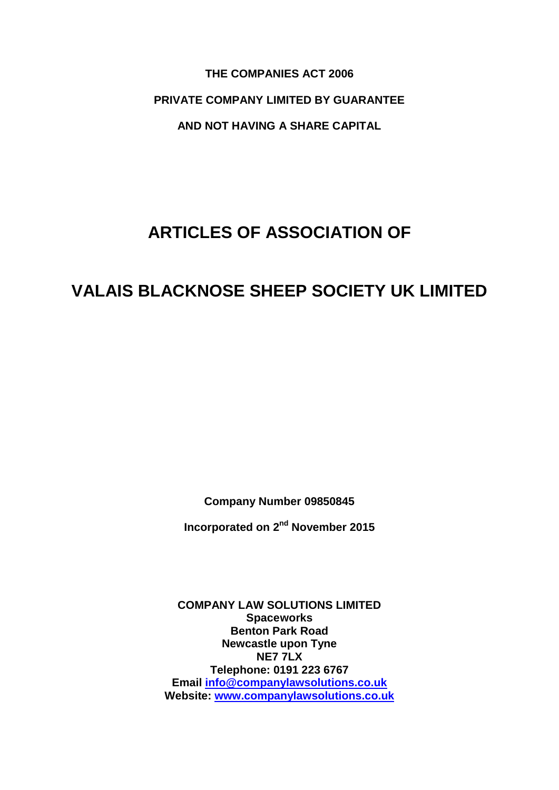**THE COMPANIES ACT 2006 PRIVATE COMPANY LIMITED BY GUARANTEE AND NOT HAVING A SHARE CAPITAL**

# **ARTICLES OF ASSOCIATION OF**

# **VALAIS BLACKNOSE SHEEP SOCIETY UK LIMITED**

**Company Number 09850845**

**Incorporated on 2<sup>nd</sup> November 2015** 

**COMPANY LAW SOLUTIONS LIMITED Spaceworks Benton Park Road Newcastle upon Tyne NE7 7LX Telephone: 0191 223 6767 Email [info@companylawsolutions.co.uk](mailto:info@companylawsolutions.co.uk) Website: [www.companylawsolutions.co.uk](http://www.companylawsolutions.co.uk/)**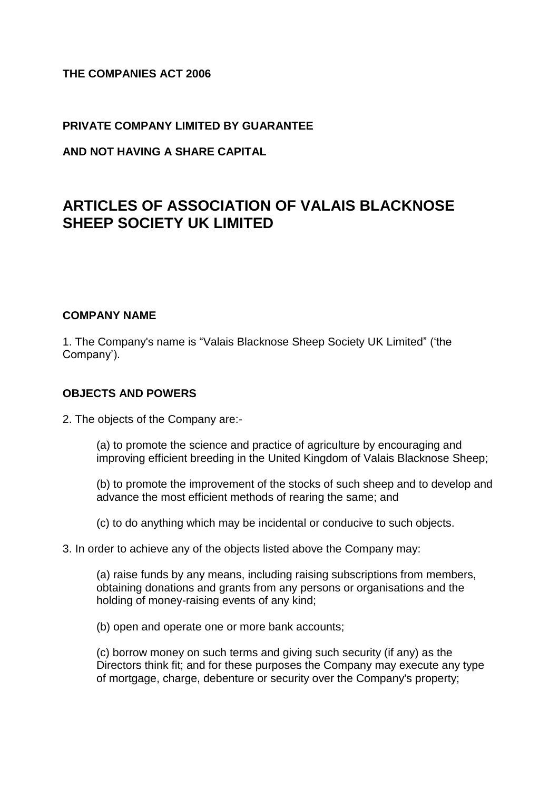# **THE COMPANIES ACT 2006**

#### **PRIVATE COMPANY LIMITED BY GUARANTEE**

**AND NOT HAVING A SHARE CAPITAL**

# **ARTICLES OF ASSOCIATION OF VALAIS BLACKNOSE SHEEP SOCIETY UK LIMITED**

#### **COMPANY NAME**

1. The Company's name is "Valais Blacknose Sheep Society UK Limited" ('the Company').

#### **OBJECTS AND POWERS**

2. The objects of the Company are:-

(a) to promote the science and practice of agriculture by encouraging and improving efficient breeding in the United Kingdom of Valais Blacknose Sheep;

(b) to promote the improvement of the stocks of such sheep and to develop and advance the most efficient methods of rearing the same; and

(c) to do anything which may be incidental or conducive to such objects.

3. In order to achieve any of the objects listed above the Company may:

(a) raise funds by any means, including raising subscriptions from members, obtaining donations and grants from any persons or organisations and the holding of money-raising events of any kind;

(b) open and operate one or more bank accounts;

(c) borrow money on such terms and giving such security (if any) as the Directors think fit; and for these purposes the Company may execute any type of mortgage, charge, debenture or security over the Company's property;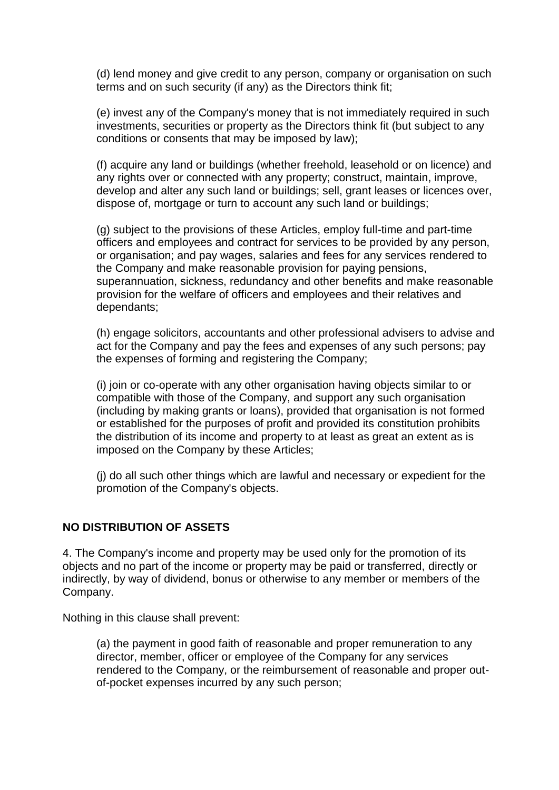(d) lend money and give credit to any person, company or organisation on such terms and on such security (if any) as the Directors think fit;

(e) invest any of the Company's money that is not immediately required in such investments, securities or property as the Directors think fit (but subject to any conditions or consents that may be imposed by law);

(f) acquire any land or buildings (whether freehold, leasehold or on licence) and any rights over or connected with any property; construct, maintain, improve, develop and alter any such land or buildings; sell, grant leases or licences over, dispose of, mortgage or turn to account any such land or buildings;

(g) subject to the provisions of these Articles, employ full-time and part-time officers and employees and contract for services to be provided by any person, or organisation; and pay wages, salaries and fees for any services rendered to the Company and make reasonable provision for paying pensions, superannuation, sickness, redundancy and other benefits and make reasonable provision for the welfare of officers and employees and their relatives and dependants;

(h) engage solicitors, accountants and other professional advisers to advise and act for the Company and pay the fees and expenses of any such persons; pay the expenses of forming and registering the Company;

(i) join or co-operate with any other organisation having objects similar to or compatible with those of the Company, and support any such organisation (including by making grants or loans), provided that organisation is not formed or established for the purposes of profit and provided its constitution prohibits the distribution of its income and property to at least as great an extent as is imposed on the Company by these Articles;

(j) do all such other things which are lawful and necessary or expedient for the promotion of the Company's objects.

#### **NO DISTRIBUTION OF ASSETS**

4. The Company's income and property may be used only for the promotion of its objects and no part of the income or property may be paid or transferred, directly or indirectly, by way of dividend, bonus or otherwise to any member or members of the Company.

Nothing in this clause shall prevent:

(a) the payment in good faith of reasonable and proper remuneration to any director, member, officer or employee of the Company for any services rendered to the Company, or the reimbursement of reasonable and proper outof-pocket expenses incurred by any such person;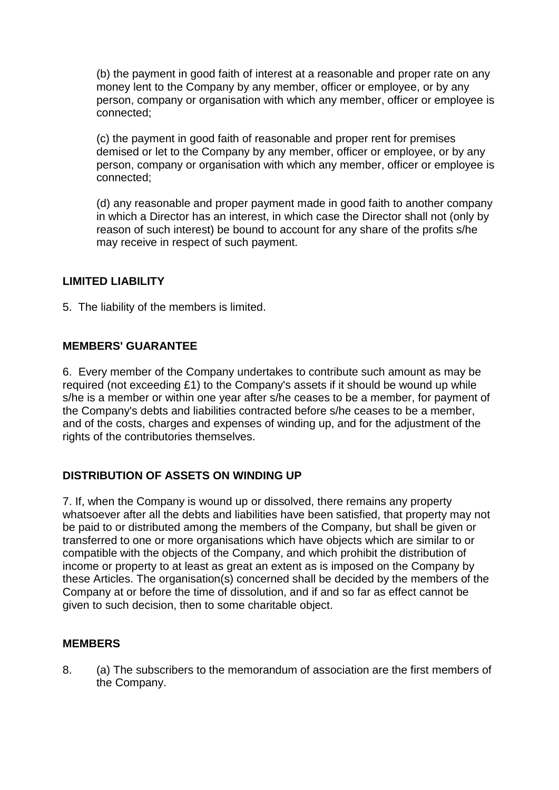(b) the payment in good faith of interest at a reasonable and proper rate on any money lent to the Company by any member, officer or employee, or by any person, company or organisation with which any member, officer or employee is connected;

(c) the payment in good faith of reasonable and proper rent for premises demised or let to the Company by any member, officer or employee, or by any person, company or organisation with which any member, officer or employee is connected;

(d) any reasonable and proper payment made in good faith to another company in which a Director has an interest, in which case the Director shall not (only by reason of such interest) be bound to account for any share of the profits s/he may receive in respect of such payment.

# **LIMITED LIABILITY**

5. The liability of the members is limited.

# **MEMBERS' GUARANTEE**

6. Every member of the Company undertakes to contribute such amount as may be required (not exceeding £1) to the Company's assets if it should be wound up while s/he is a member or within one year after s/he ceases to be a member, for payment of the Company's debts and liabilities contracted before s/he ceases to be a member, and of the costs, charges and expenses of winding up, and for the adjustment of the rights of the contributories themselves.

# **DISTRIBUTION OF ASSETS ON WINDING UP**

7. If, when the Company is wound up or dissolved, there remains any property whatsoever after all the debts and liabilities have been satisfied, that property may not be paid to or distributed among the members of the Company, but shall be given or transferred to one or more organisations which have objects which are similar to or compatible with the objects of the Company, and which prohibit the distribution of income or property to at least as great an extent as is imposed on the Company by these Articles. The organisation(s) concerned shall be decided by the members of the Company at or before the time of dissolution, and if and so far as effect cannot be given to such decision, then to some charitable object.

#### **MEMBERS**

8. (a) The subscribers to the memorandum of association are the first members of the Company.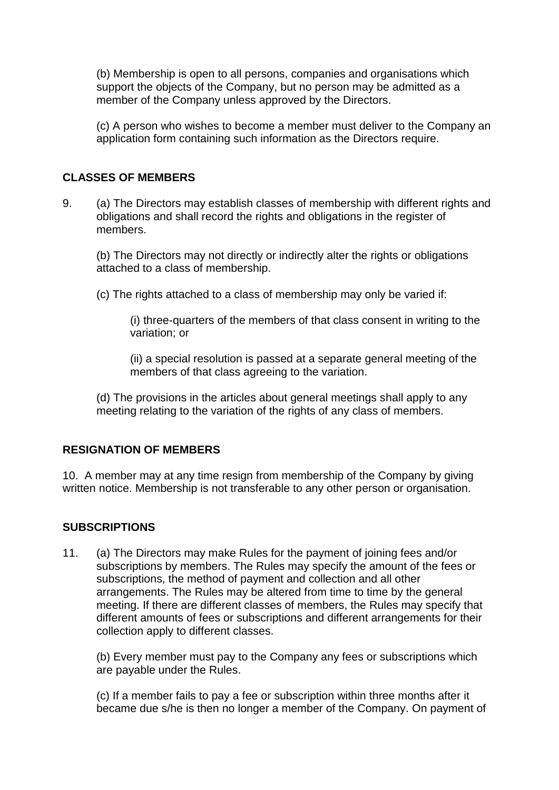(b) Membership is open to all persons, companies and organisations which support the objects of the Company, but no person may be admitted as a member of the Company unless approved by the Directors.

(c) A person who wishes to become a member must deliver to the Company an application form containing such information as the Directors require.

#### **CLASSES OF MEMBERS**

9. (a) The Directors may establish classes of membership with different rights and obligations and shall record the rights and obligations in the register of members.

(b) The Directors may not directly or indirectly alter the rights or obligations attached to a class of membership.

(c) The rights attached to a class of membership may only be varied if:

(i) three-quarters of the members of that class consent in writing to the variation; or

(ii) a special resolution is passed at a separate general meeting of the members of that class agreeing to the variation.

(d) The provisions in the articles about general meetings shall apply to any meeting relating to the variation of the rights of any class of members.

#### **RESIGNATION OF MEMBERS**

10. A member may at any time resign from membership of the Company by giving written notice. Membership is not transferable to any other person or organisation.

#### **SUBSCRIPTIONS**

11. (a) The Directors may make Rules for the payment of joining fees and/or subscriptions by members. The Rules may specify the amount of the fees or subscriptions, the method of payment and collection and all other arrangements. The Rules may be altered from time to time by the general meeting. If there are different classes of members, the Rules may specify that different amounts of fees or subscriptions and different arrangements for their collection apply to different classes.

(b) Every member must pay to the Company any fees or subscriptions which are payable under the Rules.

(c) If a member fails to pay a fee or subscription within three months after it became due s/he is then no longer a member of the Company. On payment of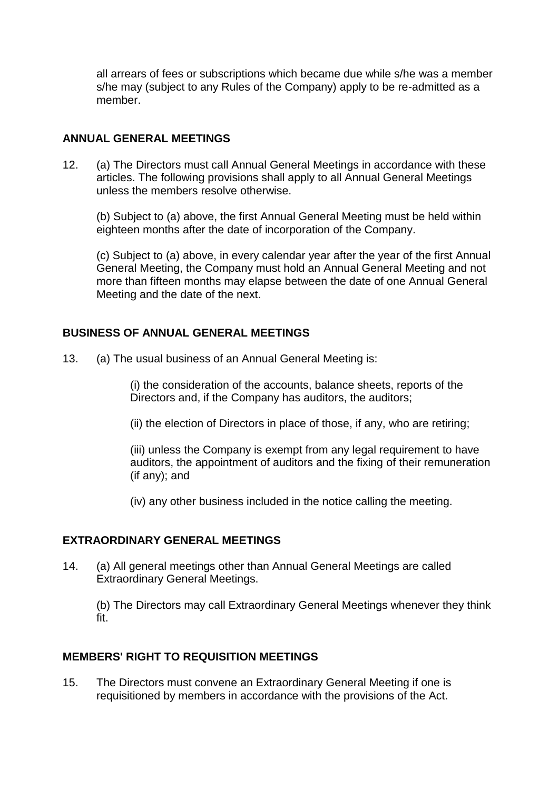all arrears of fees or subscriptions which became due while s/he was a member s/he may (subject to any Rules of the Company) apply to be re-admitted as a member.

#### **ANNUAL GENERAL MEETINGS**

12. (a) The Directors must call Annual General Meetings in accordance with these articles. The following provisions shall apply to all Annual General Meetings unless the members resolve otherwise.

(b) Subject to (a) above, the first Annual General Meeting must be held within eighteen months after the date of incorporation of the Company.

(c) Subject to (a) above, in every calendar year after the year of the first Annual General Meeting, the Company must hold an Annual General Meeting and not more than fifteen months may elapse between the date of one Annual General Meeting and the date of the next.

#### **BUSINESS OF ANNUAL GENERAL MEETINGS**

13. (a) The usual business of an Annual General Meeting is:

(i) the consideration of the accounts, balance sheets, reports of the Directors and, if the Company has auditors, the auditors;

(ii) the election of Directors in place of those, if any, who are retiring;

(iii) unless the Company is exempt from any legal requirement to have auditors, the appointment of auditors and the fixing of their remuneration (if any); and

(iv) any other business included in the notice calling the meeting.

#### **EXTRAORDINARY GENERAL MEETINGS**

14. (a) All general meetings other than Annual General Meetings are called Extraordinary General Meetings.

(b) The Directors may call Extraordinary General Meetings whenever they think fit.

#### **MEMBERS' RIGHT TO REQUISITION MEETINGS**

15. The Directors must convene an Extraordinary General Meeting if one is requisitioned by members in accordance with the provisions of the Act.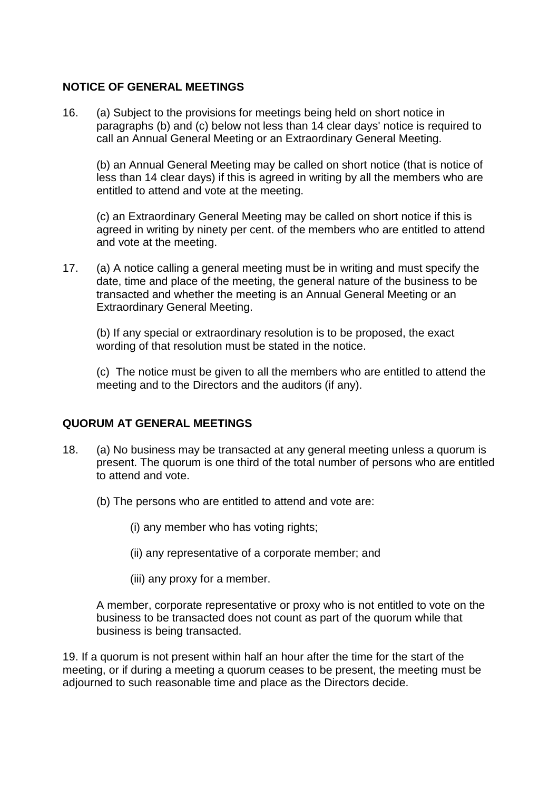#### **NOTICE OF GENERAL MEETINGS**

16. (a) Subject to the provisions for meetings being held on short notice in paragraphs (b) and (c) below not less than 14 clear days' notice is required to call an Annual General Meeting or an Extraordinary General Meeting.

(b) an Annual General Meeting may be called on short notice (that is notice of less than 14 clear days) if this is agreed in writing by all the members who are entitled to attend and vote at the meeting.

(c) an Extraordinary General Meeting may be called on short notice if this is agreed in writing by ninety per cent. of the members who are entitled to attend and vote at the meeting.

17. (a) A notice calling a general meeting must be in writing and must specify the date, time and place of the meeting, the general nature of the business to be transacted and whether the meeting is an Annual General Meeting or an Extraordinary General Meeting.

(b) If any special or extraordinary resolution is to be proposed, the exact wording of that resolution must be stated in the notice.

(c) The notice must be given to all the members who are entitled to attend the meeting and to the Directors and the auditors (if any).

#### **QUORUM AT GENERAL MEETINGS**

- 18. (a) No business may be transacted at any general meeting unless a quorum is present. The quorum is one third of the total number of persons who are entitled to attend and vote.
	- (b) The persons who are entitled to attend and vote are:
		- (i) any member who has voting rights;
		- (ii) any representative of a corporate member; and
		- (iii) any proxy for a member.

A member, corporate representative or proxy who is not entitled to vote on the business to be transacted does not count as part of the quorum while that business is being transacted.

19. If a quorum is not present within half an hour after the time for the start of the meeting, or if during a meeting a quorum ceases to be present, the meeting must be adjourned to such reasonable time and place as the Directors decide.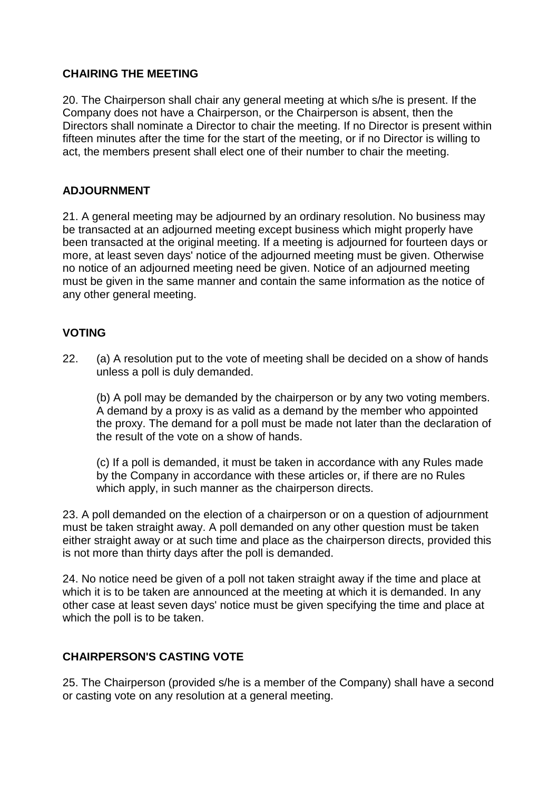# **CHAIRING THE MEETING**

20. The Chairperson shall chair any general meeting at which s/he is present. If the Company does not have a Chairperson, or the Chairperson is absent, then the Directors shall nominate a Director to chair the meeting. If no Director is present within fifteen minutes after the time for the start of the meeting, or if no Director is willing to act, the members present shall elect one of their number to chair the meeting.

# **ADJOURNMENT**

21. A general meeting may be adjourned by an ordinary resolution. No business may be transacted at an adjourned meeting except business which might properly have been transacted at the original meeting. If a meeting is adjourned for fourteen days or more, at least seven days' notice of the adjourned meeting must be given. Otherwise no notice of an adjourned meeting need be given. Notice of an adjourned meeting must be given in the same manner and contain the same information as the notice of any other general meeting.

# **VOTING**

22. (a) A resolution put to the vote of meeting shall be decided on a show of hands unless a poll is duly demanded.

(b) A poll may be demanded by the chairperson or by any two voting members. A demand by a proxy is as valid as a demand by the member who appointed the proxy. The demand for a poll must be made not later than the declaration of the result of the vote on a show of hands.

(c) If a poll is demanded, it must be taken in accordance with any Rules made by the Company in accordance with these articles or, if there are no Rules which apply, in such manner as the chairperson directs.

23. A poll demanded on the election of a chairperson or on a question of adjournment must be taken straight away. A poll demanded on any other question must be taken either straight away or at such time and place as the chairperson directs, provided this is not more than thirty days after the poll is demanded.

24. No notice need be given of a poll not taken straight away if the time and place at which it is to be taken are announced at the meeting at which it is demanded. In any other case at least seven days' notice must be given specifying the time and place at which the poll is to be taken.

#### **CHAIRPERSON'S CASTING VOTE**

25. The Chairperson (provided s/he is a member of the Company) shall have a second or casting vote on any resolution at a general meeting.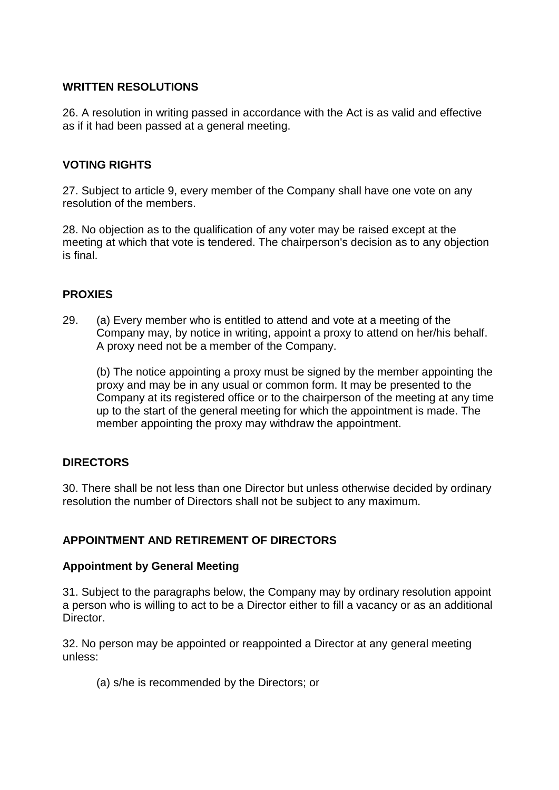#### **WRITTEN RESOLUTIONS**

26. A resolution in writing passed in accordance with the Act is as valid and effective as if it had been passed at a general meeting.

# **VOTING RIGHTS**

27. Subject to article 9, every member of the Company shall have one vote on any resolution of the members.

28. No objection as to the qualification of any voter may be raised except at the meeting at which that vote is tendered. The chairperson's decision as to any objection is final.

# **PROXIES**

29. (a) Every member who is entitled to attend and vote at a meeting of the Company may, by notice in writing, appoint a proxy to attend on her/his behalf. A proxy need not be a member of the Company.

(b) The notice appointing a proxy must be signed by the member appointing the proxy and may be in any usual or common form. It may be presented to the Company at its registered office or to the chairperson of the meeting at any time up to the start of the general meeting for which the appointment is made. The member appointing the proxy may withdraw the appointment.

# **DIRECTORS**

30. There shall be not less than one Director but unless otherwise decided by ordinary resolution the number of Directors shall not be subject to any maximum.

#### **APPOINTMENT AND RETIREMENT OF DIRECTORS**

#### **Appointment by General Meeting**

31. Subject to the paragraphs below, the Company may by ordinary resolution appoint a person who is willing to act to be a Director either to fill a vacancy or as an additional Director.

32. No person may be appointed or reappointed a Director at any general meeting unless:

(a) s/he is recommended by the Directors; or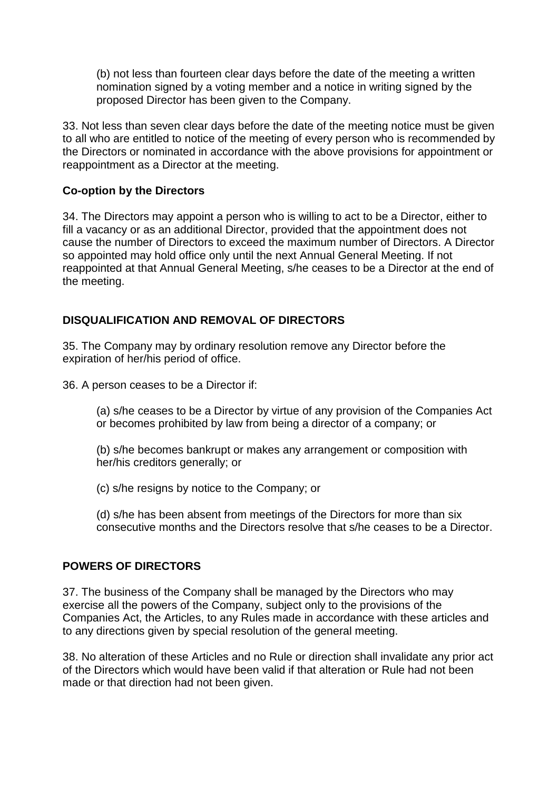(b) not less than fourteen clear days before the date of the meeting a written nomination signed by a voting member and a notice in writing signed by the proposed Director has been given to the Company.

33. Not less than seven clear days before the date of the meeting notice must be given to all who are entitled to notice of the meeting of every person who is recommended by the Directors or nominated in accordance with the above provisions for appointment or reappointment as a Director at the meeting.

# **Co-option by the Directors**

34. The Directors may appoint a person who is willing to act to be a Director, either to fill a vacancy or as an additional Director, provided that the appointment does not cause the number of Directors to exceed the maximum number of Directors. A Director so appointed may hold office only until the next Annual General Meeting. If not reappointed at that Annual General Meeting, s/he ceases to be a Director at the end of the meeting.

# **DISQUALIFICATION AND REMOVAL OF DIRECTORS**

35. The Company may by ordinary resolution remove any Director before the expiration of her/his period of office.

36. A person ceases to be a Director if:

(a) s/he ceases to be a Director by virtue of any provision of the Companies Act or becomes prohibited by law from being a director of a company; or

(b) s/he becomes bankrupt or makes any arrangement or composition with her/his creditors generally; or

(c) s/he resigns by notice to the Company; or

(d) s/he has been absent from meetings of the Directors for more than six consecutive months and the Directors resolve that s/he ceases to be a Director.

#### **POWERS OF DIRECTORS**

37. The business of the Company shall be managed by the Directors who may exercise all the powers of the Company, subject only to the provisions of the Companies Act, the Articles, to any Rules made in accordance with these articles and to any directions given by special resolution of the general meeting.

38. No alteration of these Articles and no Rule or direction shall invalidate any prior act of the Directors which would have been valid if that alteration or Rule had not been made or that direction had not been given.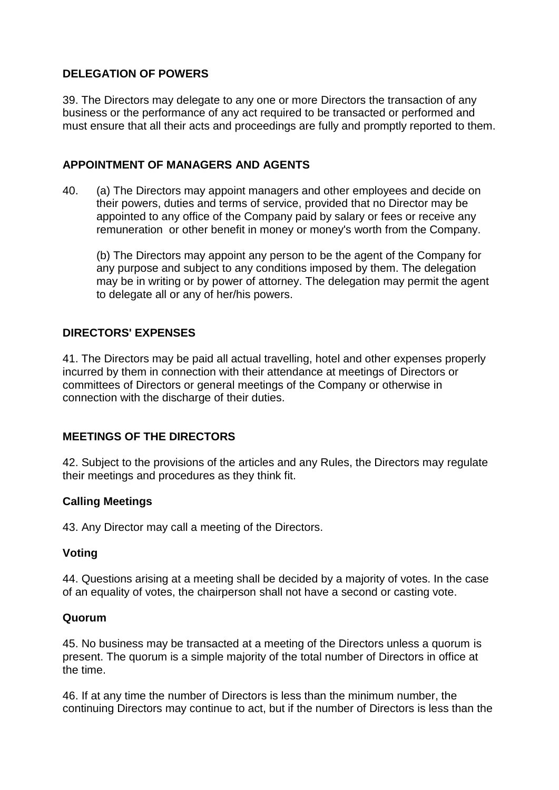# **DELEGATION OF POWERS**

39. The Directors may delegate to any one or more Directors the transaction of any business or the performance of any act required to be transacted or performed and must ensure that all their acts and proceedings are fully and promptly reported to them.

#### **APPOINTMENT OF MANAGERS AND AGENTS**

40. (a) The Directors may appoint managers and other employees and decide on their powers, duties and terms of service, provided that no Director may be appointed to any office of the Company paid by salary or fees or receive any remuneration or other benefit in money or money's worth from the Company.

(b) The Directors may appoint any person to be the agent of the Company for any purpose and subject to any conditions imposed by them. The delegation may be in writing or by power of attorney. The delegation may permit the agent to delegate all or any of her/his powers.

# **DIRECTORS' EXPENSES**

41. The Directors may be paid all actual travelling, hotel and other expenses properly incurred by them in connection with their attendance at meetings of Directors or committees of Directors or general meetings of the Company or otherwise in connection with the discharge of their duties.

#### **MEETINGS OF THE DIRECTORS**

42. Subject to the provisions of the articles and any Rules, the Directors may regulate their meetings and procedures as they think fit.

#### **Calling Meetings**

43. Any Director may call a meeting of the Directors.

#### **Voting**

44. Questions arising at a meeting shall be decided by a majority of votes. In the case of an equality of votes, the chairperson shall not have a second or casting vote.

#### **Quorum**

45. No business may be transacted at a meeting of the Directors unless a quorum is present. The quorum is a simple majority of the total number of Directors in office at the time.

46. If at any time the number of Directors is less than the minimum number, the continuing Directors may continue to act, but if the number of Directors is less than the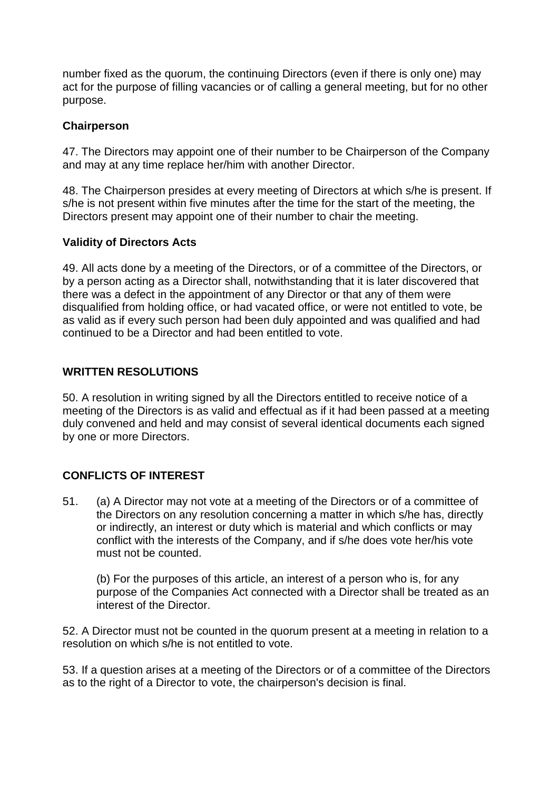number fixed as the quorum, the continuing Directors (even if there is only one) may act for the purpose of filling vacancies or of calling a general meeting, but for no other purpose.

# **Chairperson**

47. The Directors may appoint one of their number to be Chairperson of the Company and may at any time replace her/him with another Director.

48. The Chairperson presides at every meeting of Directors at which s/he is present. If s/he is not present within five minutes after the time for the start of the meeting, the Directors present may appoint one of their number to chair the meeting.

# **Validity of Directors Acts**

49. All acts done by a meeting of the Directors, or of a committee of the Directors, or by a person acting as a Director shall, notwithstanding that it is later discovered that there was a defect in the appointment of any Director or that any of them were disqualified from holding office, or had vacated office, or were not entitled to vote, be as valid as if every such person had been duly appointed and was qualified and had continued to be a Director and had been entitled to vote.

# **WRITTEN RESOLUTIONS**

50. A resolution in writing signed by all the Directors entitled to receive notice of a meeting of the Directors is as valid and effectual as if it had been passed at a meeting duly convened and held and may consist of several identical documents each signed by one or more Directors.

# **CONFLICTS OF INTEREST**

51. (a) A Director may not vote at a meeting of the Directors or of a committee of the Directors on any resolution concerning a matter in which s/he has, directly or indirectly, an interest or duty which is material and which conflicts or may conflict with the interests of the Company, and if s/he does vote her/his vote must not be counted.

(b) For the purposes of this article, an interest of a person who is, for any purpose of the Companies Act connected with a Director shall be treated as an interest of the Director.

52. A Director must not be counted in the quorum present at a meeting in relation to a resolution on which s/he is not entitled to vote.

53. If a question arises at a meeting of the Directors or of a committee of the Directors as to the right of a Director to vote, the chairperson's decision is final.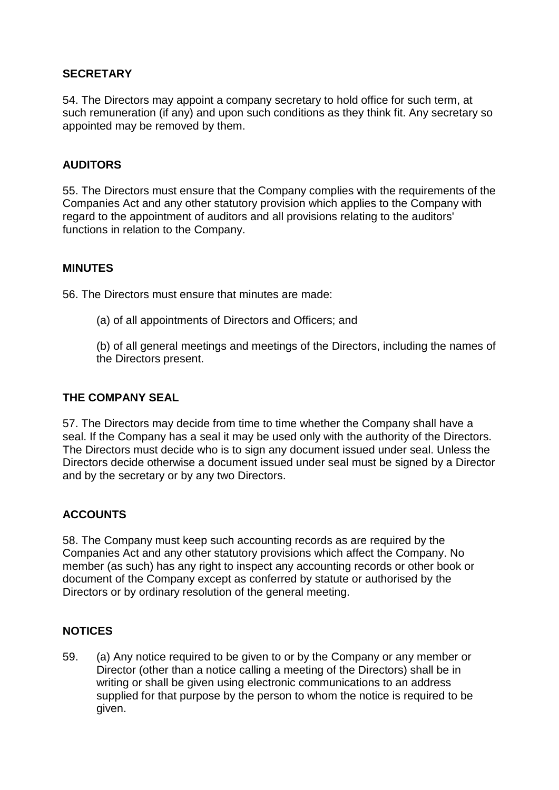# **SECRETARY**

54. The Directors may appoint a company secretary to hold office for such term, at such remuneration (if any) and upon such conditions as they think fit. Any secretary so appointed may be removed by them.

# **AUDITORS**

55. The Directors must ensure that the Company complies with the requirements of the Companies Act and any other statutory provision which applies to the Company with regard to the appointment of auditors and all provisions relating to the auditors' functions in relation to the Company.

#### **MINUTES**

56. The Directors must ensure that minutes are made:

(a) of all appointments of Directors and Officers; and

(b) of all general meetings and meetings of the Directors, including the names of the Directors present.

#### **THE COMPANY SEAL**

57. The Directors may decide from time to time whether the Company shall have a seal. If the Company has a seal it may be used only with the authority of the Directors. The Directors must decide who is to sign any document issued under seal. Unless the Directors decide otherwise a document issued under seal must be signed by a Director and by the secretary or by any two Directors.

#### **ACCOUNTS**

58. The Company must keep such accounting records as are required by the Companies Act and any other statutory provisions which affect the Company. No member (as such) has any right to inspect any accounting records or other book or document of the Company except as conferred by statute or authorised by the Directors or by ordinary resolution of the general meeting.

#### **NOTICES**

59. (a) Any notice required to be given to or by the Company or any member or Director (other than a notice calling a meeting of the Directors) shall be in writing or shall be given using electronic communications to an address supplied for that purpose by the person to whom the notice is required to be given.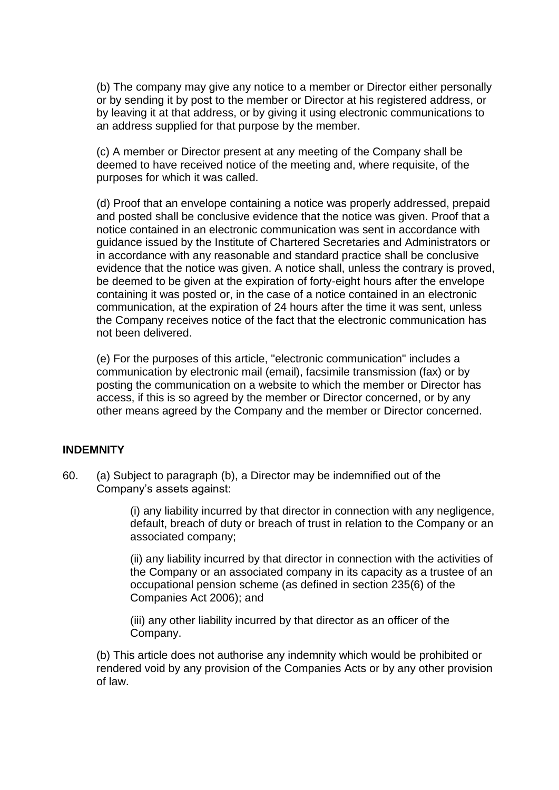(b) The company may give any notice to a member or Director either personally or by sending it by post to the member or Director at his registered address, or by leaving it at that address, or by giving it using electronic communications to an address supplied for that purpose by the member.

(c) A member or Director present at any meeting of the Company shall be deemed to have received notice of the meeting and, where requisite, of the purposes for which it was called.

(d) Proof that an envelope containing a notice was properly addressed, prepaid and posted shall be conclusive evidence that the notice was given. Proof that a notice contained in an electronic communication was sent in accordance with guidance issued by the Institute of Chartered Secretaries and Administrators or in accordance with any reasonable and standard practice shall be conclusive evidence that the notice was given. A notice shall, unless the contrary is proved, be deemed to be given at the expiration of forty-eight hours after the envelope containing it was posted or, in the case of a notice contained in an electronic communication, at the expiration of 24 hours after the time it was sent, unless the Company receives notice of the fact that the electronic communication has not been delivered.

(e) For the purposes of this article, "electronic communication" includes a communication by electronic mail (email), facsimile transmission (fax) or by posting the communication on a website to which the member or Director has access, if this is so agreed by the member or Director concerned, or by any other means agreed by the Company and the member or Director concerned.

#### **INDEMNITY**

60. (a) Subject to paragraph (b), a Director may be indemnified out of the Company's assets against:

> (i) any liability incurred by that director in connection with any negligence, default, breach of duty or breach of trust in relation to the Company or an associated company;

> (ii) any liability incurred by that director in connection with the activities of the Company or an associated company in its capacity as a trustee of an occupational pension scheme (as defined in section 235(6) of the Companies Act 2006); and

(iii) any other liability incurred by that director as an officer of the Company.

(b) This article does not authorise any indemnity which would be prohibited or rendered void by any provision of the Companies Acts or by any other provision of law.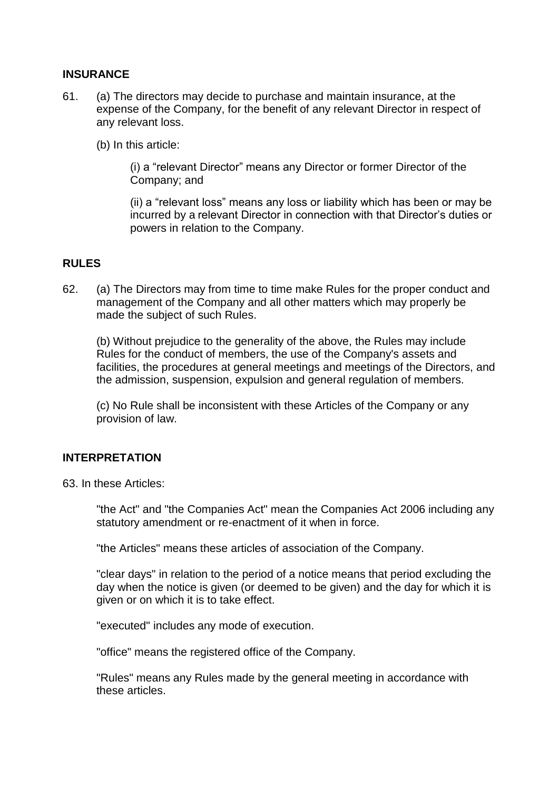#### **INSURANCE**

61. (a) The directors may decide to purchase and maintain insurance, at the expense of the Company, for the benefit of any relevant Director in respect of any relevant loss.

(b) In this article:

(i) a "relevant Director" means any Director or former Director of the Company; and

(ii) a "relevant loss" means any loss or liability which has been or may be incurred by a relevant Director in connection with that Director's duties or powers in relation to the Company.

#### **RULES**

62. (a) The Directors may from time to time make Rules for the proper conduct and management of the Company and all other matters which may properly be made the subject of such Rules.

(b) Without prejudice to the generality of the above, the Rules may include Rules for the conduct of members, the use of the Company's assets and facilities, the procedures at general meetings and meetings of the Directors, and the admission, suspension, expulsion and general regulation of members.

(c) No Rule shall be inconsistent with these Articles of the Company or any provision of law.

#### **INTERPRETATION**

63. In these Articles:

"the Act" and "the Companies Act" mean the Companies Act 2006 including any statutory amendment or re-enactment of it when in force.

"the Articles" means these articles of association of the Company.

"clear days" in relation to the period of a notice means that period excluding the day when the notice is given (or deemed to be given) and the day for which it is given or on which it is to take effect.

"executed" includes any mode of execution.

"office" means the registered office of the Company.

"Rules" means any Rules made by the general meeting in accordance with these articles.